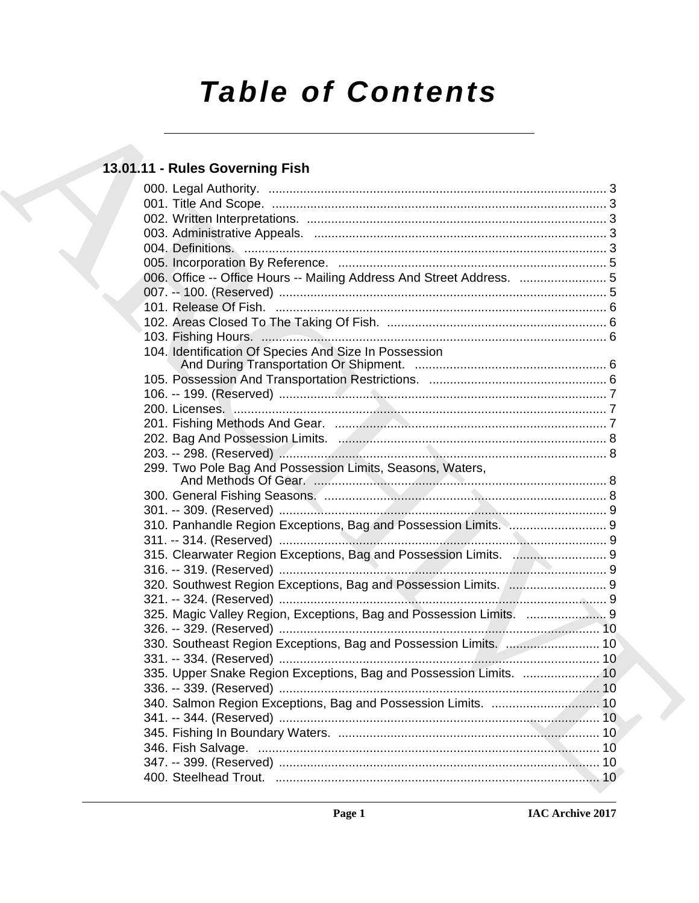# **Table of Contents**

## 13.01.11 - Rules Governing Fish

|  | 006. Office -- Office Hours -- Mailing Address And Street Address.  5 |  |
|--|-----------------------------------------------------------------------|--|
|  |                                                                       |  |
|  |                                                                       |  |
|  |                                                                       |  |
|  |                                                                       |  |
|  | 104. Identification Of Species And Size In Possession                 |  |
|  |                                                                       |  |
|  |                                                                       |  |
|  |                                                                       |  |
|  |                                                                       |  |
|  |                                                                       |  |
|  |                                                                       |  |
|  |                                                                       |  |
|  | 299. Two Pole Bag And Possession Limits, Seasons, Waters,             |  |
|  |                                                                       |  |
|  |                                                                       |  |
|  | 310. Panhandle Region Exceptions, Bag and Possession Limits.  9       |  |
|  |                                                                       |  |
|  | 315. Clearwater Region Exceptions, Bag and Possession Limits.  9      |  |
|  |                                                                       |  |
|  | 320. Southwest Region Exceptions, Bag and Possession Limits.  9       |  |
|  |                                                                       |  |
|  | 325. Magic Valley Region, Exceptions, Bag and Possession Limits.  9   |  |
|  |                                                                       |  |
|  | 330. Southeast Region Exceptions, Bag and Possession Limits.  10      |  |
|  |                                                                       |  |
|  | 335. Upper Snake Region Exceptions, Bag and Possession Limits.  10    |  |
|  |                                                                       |  |
|  |                                                                       |  |
|  |                                                                       |  |
|  |                                                                       |  |
|  |                                                                       |  |
|  |                                                                       |  |
|  |                                                                       |  |
|  |                                                                       |  |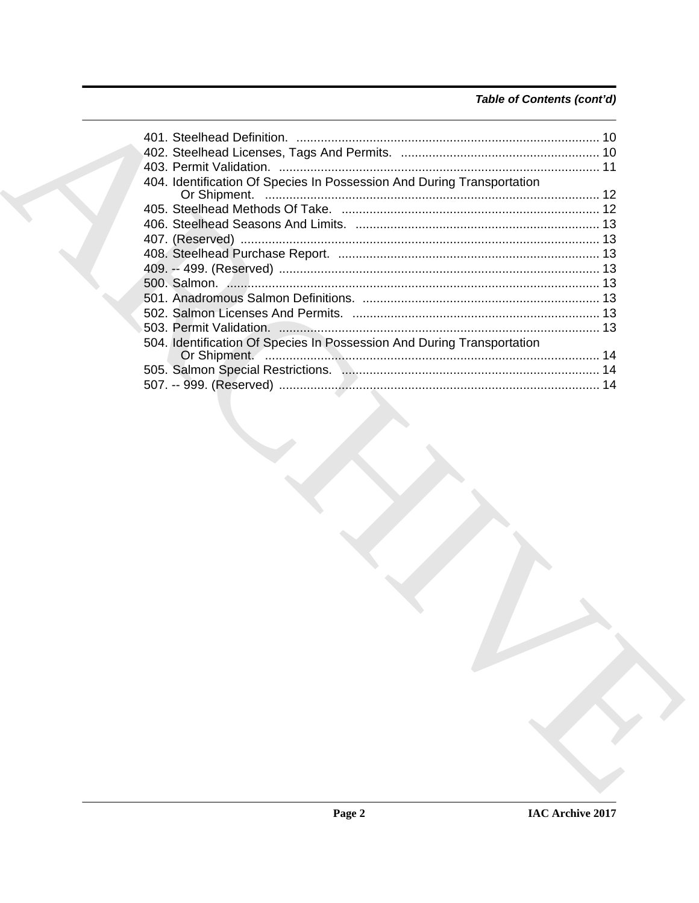## Table of Contents (cont'd)

|  | 404. Identification Of Species In Possession And During Transportation |  |
|--|------------------------------------------------------------------------|--|
|  |                                                                        |  |
|  |                                                                        |  |
|  |                                                                        |  |
|  |                                                                        |  |
|  |                                                                        |  |
|  |                                                                        |  |
|  |                                                                        |  |
|  |                                                                        |  |
|  |                                                                        |  |
|  |                                                                        |  |
|  | 504. Identification Of Species In Possession And During Transportation |  |
|  |                                                                        |  |
|  |                                                                        |  |
|  |                                                                        |  |
|  |                                                                        |  |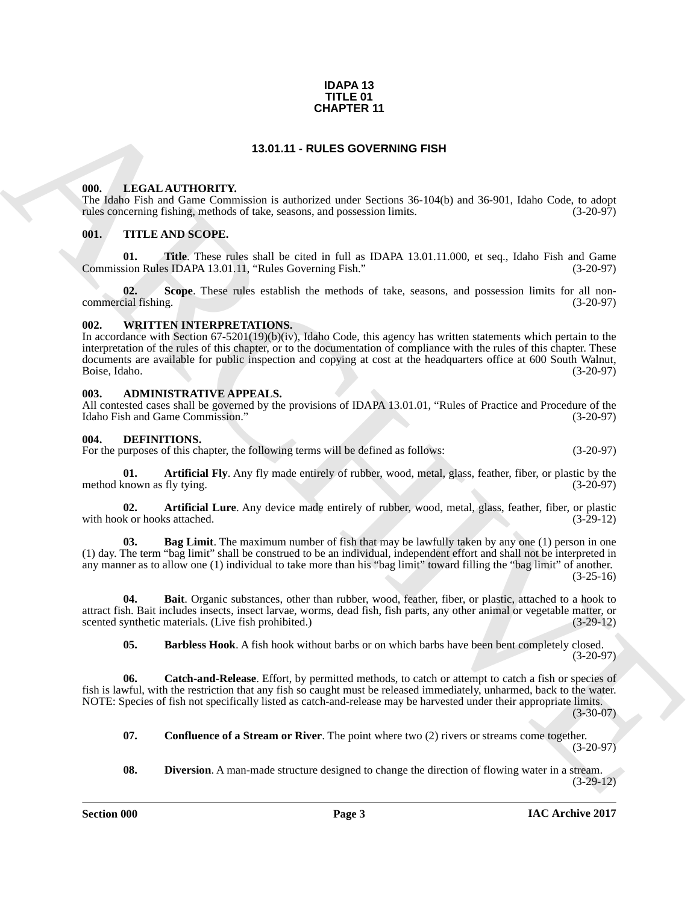#### **IDAPA 13 TITLE 01 CHAPTER 11**

#### **13.01.11 - RULES GOVERNING FISH**

#### <span id="page-2-1"></span><span id="page-2-0"></span>**000. LEGAL AUTHORITY.**

The Idaho Fish and Game Commission is authorized under Sections 36-104(b) and 36-901, Idaho Code, to adopt rules concerning fishing, methods of take, seasons, and possession limits. (3-20-97) rules concerning fishing, methods of take, seasons, and possession limits.

#### <span id="page-2-2"></span>**001. TITLE AND SCOPE.**

**01.** Title. These rules shall be cited in full as IDAPA 13.01.11.000, et seq., Idaho Fish and Game sion Rules IDAPA 13.01.11. "Rules Governing Fish." (3-20-97) Commission Rules IDAPA 13.01.11, "Rules Governing Fish."

**02.** Scope. These rules establish the methods of take, seasons, and possession limits for all non-<br>(3-20-97) commercial fishing.

#### <span id="page-2-3"></span>**002. WRITTEN INTERPRETATIONS.**

**CHAPTER 11**<br> **ARCHITEROPTY.**<br> **ARCHITEROPTY**<br> **ARCHITEROPTY**<br> **ARCHITEROPTY**<br> **ARCHITEROPTY**<br> **ARCHITEROPTY**<br> **ARCHITEROPTY**<br> **ARCHITEROPTY**<br> **ARCHITEROPTY**<br> **ARCHITEROPTY**<br> **ARCHITEROPTY**<br> **ARCHITEROPTY**<br> **ARCHITEROPTY** In accordance with Section 67-5201(19)(b)(iv), Idaho Code, this agency has written statements which pertain to the interpretation of the rules of this chapter, or to the documentation of compliance with the rules of this chapter. These documents are available for public inspection and copying at cost at the headquarters office at 600 South Walnut,<br>Boise, Idaho. (3-20-97) Boise, Idaho. (3-20-97)

#### <span id="page-2-4"></span>**003. ADMINISTRATIVE APPEALS.**

All contested cases shall be governed by the provisions of IDAPA 13.01.01, "Rules of Practice and Procedure of the Idaho Fish and Game Commission." (3-20-97)

#### <span id="page-2-6"></span><span id="page-2-5"></span>**004. DEFINITIONS.**

For the purposes of this chapter, the following terms will be defined as follows: (3-20-97)

<span id="page-2-7"></span>**01. Artificial Fly**. Any fly made entirely of rubber, wood, metal, glass, feather, fiber, or plastic by the cnown as fly tying. (3-20-97) method known as fly tying.

<span id="page-2-8"></span>**02. Artificial Lure**. Any device made entirely of rubber, wood, metal, glass, feather, fiber, or plastic k or hooks attached. (3-29-12) with hook or hooks attached.

<span id="page-2-9"></span>**03. Bag Limit**. The maximum number of fish that may be lawfully taken by any one (1) person in one (1) day. The term "bag limit" shall be construed to be an individual, independent effort and shall not be interpreted in any manner as to allow one (1) individual to take more than his "bag limit" toward filling the "bag limit" of another. (3-25-16)

**04. Bait**. Organic substances, other than rubber, wood, feather, fiber, or plastic, attached to a hook to attract fish. Bait includes insects, insect larvae, worms, dead fish, fish parts, any other animal or vegetable matter, or scented synthetic materials. (Live fish prohibited.) (3-29-12)

<span id="page-2-12"></span><span id="page-2-11"></span><span id="page-2-10"></span>**05. Barbless Hook**. A fish hook without barbs or on which barbs have been bent completely closed.  $(3-20-97)$ 

**06. Catch-and-Release**. Effort, by permitted methods, to catch or attempt to catch a fish or species of fish is lawful, with the restriction that any fish so caught must be released immediately, unharmed, back to the water. NOTE: Species of fish not specifically listed as catch-and-release may be harvested under their appropriate limits. (3-30-07)

<span id="page-2-13"></span>**07.** Confluence of a Stream or River. The point where two (2) rivers or streams come together. (3-20-97)

<span id="page-2-14"></span>**08. Diversion**. A man-made structure designed to change the direction of flowing water in a stream. (3-29-12)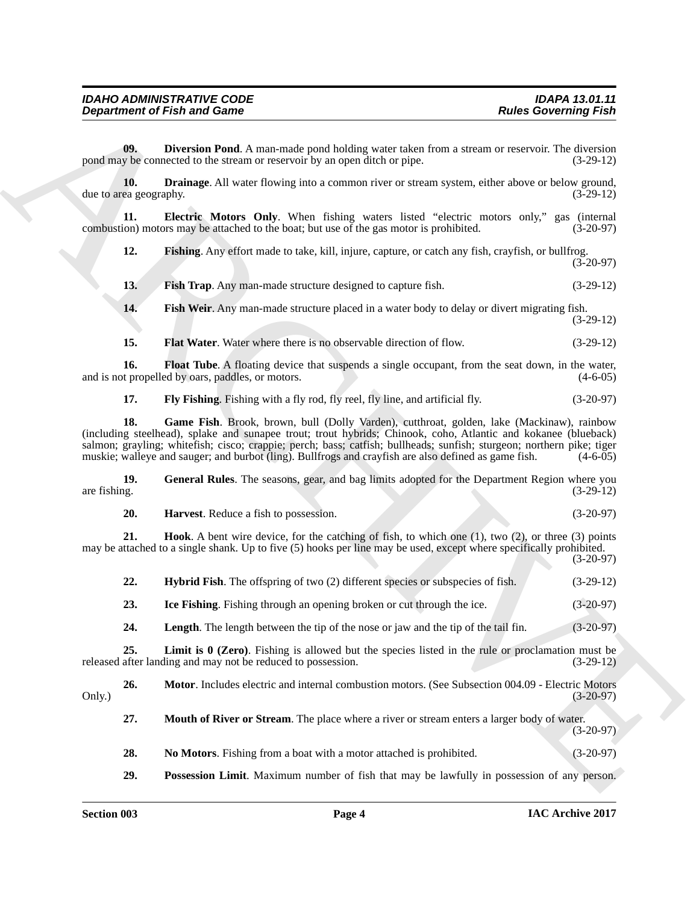<span id="page-3-20"></span><span id="page-3-19"></span><span id="page-3-18"></span><span id="page-3-17"></span><span id="page-3-16"></span><span id="page-3-15"></span><span id="page-3-14"></span><span id="page-3-13"></span><span id="page-3-12"></span><span id="page-3-11"></span><span id="page-3-10"></span><span id="page-3-9"></span><span id="page-3-8"></span><span id="page-3-7"></span><span id="page-3-6"></span><span id="page-3-5"></span><span id="page-3-4"></span><span id="page-3-3"></span><span id="page-3-2"></span><span id="page-3-1"></span><span id="page-3-0"></span>

|                               | <b>Department of Fish and Game</b>                                                                                                                                                                                                                                                                                                                                                                                                           | <b>Rules Governing Fish</b> |
|-------------------------------|----------------------------------------------------------------------------------------------------------------------------------------------------------------------------------------------------------------------------------------------------------------------------------------------------------------------------------------------------------------------------------------------------------------------------------------------|-----------------------------|
| 09.                           | Diversion Pond. A man-made pond holding water taken from a stream or reservoir. The diversion<br>pond may be connected to the stream or reservoir by an open ditch or pipe.                                                                                                                                                                                                                                                                  | $(3-29-12)$                 |
| 10.<br>due to area geography. | <b>Drainage.</b> All water flowing into a common river or stream system, either above or below ground,                                                                                                                                                                                                                                                                                                                                       | $(3-29-12)$                 |
| 11.                           | Electric Motors Only. When fishing waters listed "electric motors only," gas (internal<br>combustion) motors may be attached to the boat; but use of the gas motor is prohibited.                                                                                                                                                                                                                                                            | $(3-20-97)$                 |
| 12.                           | Fishing. Any effort made to take, kill, injure, capture, or catch any fish, crayfish, or bullfrog.                                                                                                                                                                                                                                                                                                                                           | $(3-20-97)$                 |
| 13.                           | Fish Trap. Any man-made structure designed to capture fish.                                                                                                                                                                                                                                                                                                                                                                                  | $(3-29-12)$                 |
| 14.                           | Fish Weir. Any man-made structure placed in a water body to delay or divert migrating fish.                                                                                                                                                                                                                                                                                                                                                  | $(3-29-12)$                 |
| 15.                           | Flat Water. Water where there is no observable direction of flow.                                                                                                                                                                                                                                                                                                                                                                            | $(3-29-12)$                 |
| 16.                           | <b>Float Tube.</b> A floating device that suspends a single occupant, from the seat down, in the water,<br>and is not propelled by oars, paddles, or motors.                                                                                                                                                                                                                                                                                 | $(4-6-05)$                  |
| 17.                           | Fly Fishing. Fishing with a fly rod, fly reel, fly line, and artificial fly.                                                                                                                                                                                                                                                                                                                                                                 | $(3-20-97)$                 |
| 18.                           | Game Fish. Brook, brown, bull (Dolly Varden), cutthroat, golden, lake (Mackinaw), rainbow<br>(including steelhead), splake and sunapee trout; trout hybrids; Chinook, coho, Atlantic and kokanee (blueback)<br>salmon; grayling; whitefish; cisco; crappie; perch; bass; catfish; bullheads; sunfish; sturgeon; northern pike; tiger<br>muskie; walleye and sauger; and burbot (ling). Bullfrogs and crayfish are also defined as game fish. | $(4-6-05)$                  |
| 19.<br>are fishing.           | General Rules. The seasons, gear, and bag limits adopted for the Department Region where you                                                                                                                                                                                                                                                                                                                                                 | $(3-29-12)$                 |
| 20.                           | Harvest. Reduce a fish to possession.                                                                                                                                                                                                                                                                                                                                                                                                        | $(3-20-97)$                 |
| 21.                           | <b>Hook.</b> A bent wire device, for the catching of fish, to which one (1), two (2), or three (3) points<br>may be attached to a single shank. Up to five (5) hooks per line may be used, except where specifically prohibited.                                                                                                                                                                                                             | $(3-20-97)$                 |
| 22.                           | Hybrid Fish. The offspring of two (2) different species or subspecies of fish.                                                                                                                                                                                                                                                                                                                                                               | $(3-29-12)$                 |
| 23.                           | <b>Ice Fishing.</b> Fishing through an opening broken or cut through the ice.                                                                                                                                                                                                                                                                                                                                                                | $(3-20-97)$                 |
| 24.                           | Length. The length between the tip of the nose or jaw and the tip of the tail fin.                                                                                                                                                                                                                                                                                                                                                           | $(3-20-97)$                 |
| 25.                           | <b>Limit is <math>\theta</math> (Zero)</b> . Fishing is allowed but the species listed in the rule or proclamation must be<br>released after landing and may not be reduced to possession.                                                                                                                                                                                                                                                   | $(3-29-12)$                 |
| 26.<br>Only.)                 | Motor. Includes electric and internal combustion motors. (See Subsection 004.09 - Electric Motors                                                                                                                                                                                                                                                                                                                                            | $(3-20-97)$                 |
| 27.                           | Mouth of River or Stream. The place where a river or stream enters a larger body of water.                                                                                                                                                                                                                                                                                                                                                   | $(3-20-97)$                 |
|                               |                                                                                                                                                                                                                                                                                                                                                                                                                                              |                             |
| 28.                           | No Motors. Fishing from a boat with a motor attached is prohibited.                                                                                                                                                                                                                                                                                                                                                                          | $(3-20-97)$                 |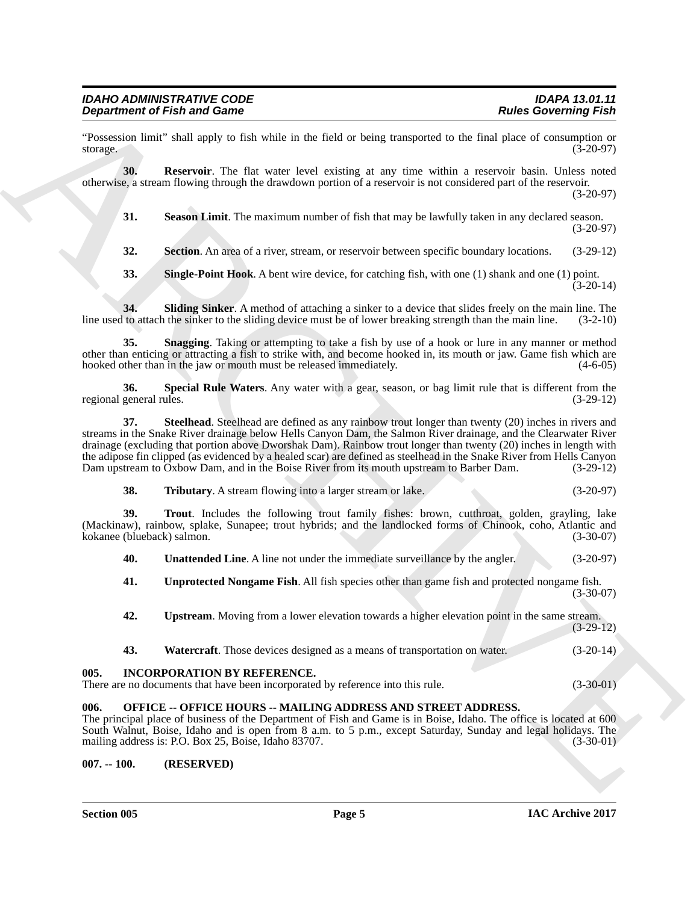"Possession limit" shall apply to fish while in the field or being transported to the final place of consumption or storage.  $(3-20-97)$ 

**30. Reservoir**. The flat water level existing at any time within a reservoir basin. Unless noted otherwise, a stream flowing through the drawdown portion of a reservoir is not considered part of the reservoir. (3-20-97)

<span id="page-4-4"></span><span id="page-4-3"></span>**31. Season Limit**. The maximum number of fish that may be lawfully taken in any declared season. (3-20-97)

<span id="page-4-5"></span>**32. Section**. An area of a river, stream, or reservoir between specific boundary locations. (3-29-12)

<span id="page-4-8"></span><span id="page-4-7"></span><span id="page-4-6"></span>**33. Single-Point Hook**. A bent wire device, for catching fish, with one (1) shank and one (1) point. (3-20-14)

**34.** Sliding Sinker. A method of attaching a sinker to a device that slides freely on the main line. The to attach the sinker to the sliding device must be of lower breaking strength than the main line. (3-2-10) line used to attach the sinker to the sliding device must be of lower breaking strength than the main line.

**35. Snagging**. Taking or attempting to take a fish by use of a hook or lure in any manner or method other than enticing or attracting a fish to strike with, and become hooked in, its mouth or jaw. Game fish which are hooked other than in the jaw or mouth must be released immediately.

<span id="page-4-10"></span><span id="page-4-9"></span>**36. Special Rule Waters**. Any water with a gear, season, or bag limit rule that is different from the general rules. (3-29-12) regional general rules.

**Dependent of Fish and Game<br>
Theoretical Neumerick State is the fish of being temperated by the state of being temperated and the state of the state of the state of the state of the state of the state of the state of the 37. Steelhead**. Steelhead are defined as any rainbow trout longer than twenty (20) inches in rivers and streams in the Snake River drainage below Hells Canyon Dam, the Salmon River drainage, and the Clearwater River drainage (excluding that portion above Dworshak Dam). Rainbow trout longer than twenty (20) inches in length with the adipose fin clipped (as evidenced by a healed scar) are defined as steelhead in the Snake River from Hells Canyon<br>Dam upstream to Oxbow Dam, and in the Boise River from its mouth upstream to Barber Dam. (3-29-12) Dam upstream to Oxbow Dam, and in the Boise River from its mouth upstream to Barber Dam.

<span id="page-4-12"></span><span id="page-4-11"></span>**38. Tributary**. A stream flowing into a larger stream or lake. (3-20-97)

**39. Trout**. Includes the following trout family fishes: brown, cutthroat, golden, grayling, lake (Mackinaw), rainbow, splake, Sunapee; trout hybrids; and the landlocked forms of Chinook, coho, Atlantic and kokanee (blueback) salmon. (3-30-07) kokanee (blueback) salmon.

<span id="page-4-13"></span>**40. Unattended Line**. A line not under the immediate surveillance by the angler. (3-20-97)

<span id="page-4-14"></span>**41. Unprotected Nongame Fish**. All fish species other than game fish and protected nongame fish.  $(3-30-07)$ 

<span id="page-4-15"></span>**42. Upstream**. Moving from a lower elevation towards a higher elevation point in the same stream. (3-29-12)

<span id="page-4-16"></span>

| <b>Watercraft.</b> Those devices designed as a means of transportation on water. | 43. |  |  |  |  | $(3-20-14)$ |
|----------------------------------------------------------------------------------|-----|--|--|--|--|-------------|
|----------------------------------------------------------------------------------|-----|--|--|--|--|-------------|

#### <span id="page-4-0"></span>**005. INCORPORATION BY REFERENCE.**

There are no documents that have been incorporated by reference into this rule. (3-30-01)

#### <span id="page-4-1"></span>**006. OFFICE -- OFFICE HOURS -- MAILING ADDRESS AND STREET ADDRESS.**

The principal place of business of the Department of Fish and Game is in Boise, Idaho. The office is located at 600 South Walnut, Boise, Idaho and is open from 8 a.m. to 5 p.m., except Saturday, Sunday and legal holidays. The mailing address is: P.O. Box 25, Boise, Idaho 83707. (3-30-01)

#### <span id="page-4-2"></span>**007. -- 100. (RESERVED)**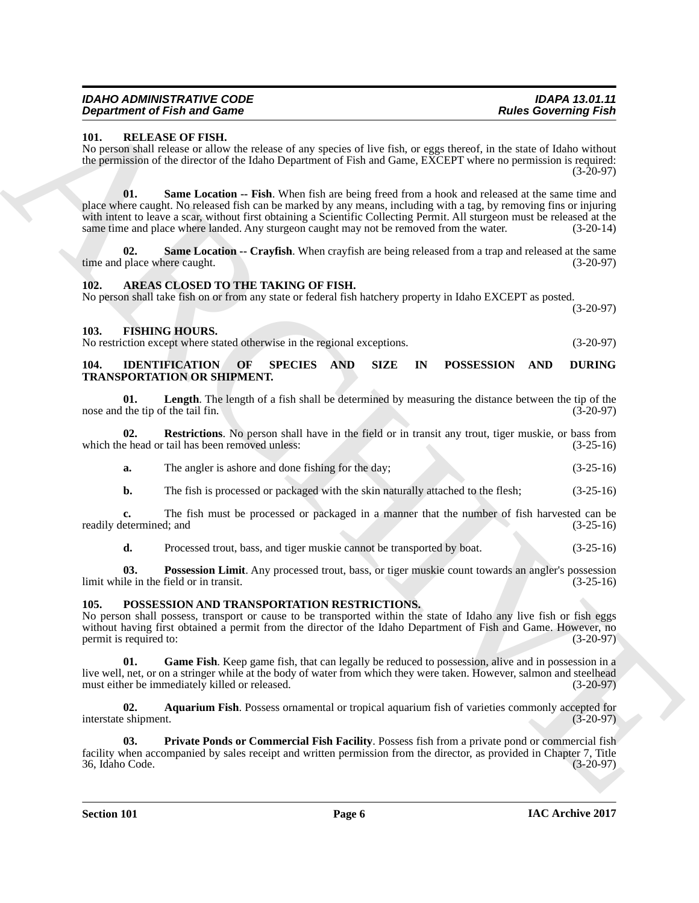| IDAHO ADMINISTRATIVE CODE          |  |
|------------------------------------|--|
| <b>Department of Fish and Game</b> |  |

#### <span id="page-5-15"></span><span id="page-5-0"></span>**101. RELEASE OF FISH.**

<span id="page-5-17"></span>No person shall release or allow the release of any species of live fish, or eggs thereof, in the state of Idaho without the permission of the director of the Idaho Department of Fish and Game, EXCEPT where no permission is required:  $(3-20-97)$ 

**Experimente of Finding Control Control Control Control Control Control Control Control Control Control Control Control Control Control Control Control Control Control Control Control Control Control Control Control Contr 01. Same Location -- Fish**. When fish are being freed from a hook and released at the same time and place where caught. No released fish can be marked by any means, including with a tag, by removing fins or injuring with intent to leave a scar, without first obtaining a Scientific Collecting Permit. All sturgeon must be released at the same time and place where landed. Any sturgeon caught may not be removed from the water.  $(3-20-14)$ 

<span id="page-5-16"></span>**02. Same Location -- Crayfish**. When crayfish are being released from a trap and released at the same place where caught. (3-20-97) time and place where caught.

#### <span id="page-5-5"></span><span id="page-5-1"></span>**102. AREAS CLOSED TO THE TAKING OF FISH.**

No person shall take fish on or from any state or federal fish hatchery property in Idaho EXCEPT as posted. (3-20-97)

#### <span id="page-5-6"></span><span id="page-5-2"></span>**103. FISHING HOURS.**

No restriction except where stated otherwise in the regional exceptions. (3-20-97)

#### <span id="page-5-7"></span><span id="page-5-3"></span>**104. IDENTIFICATION OF SPECIES AND SIZE IN POSSESSION AND DURING TRANSPORTATION OR SHIPMENT.**

<span id="page-5-8"></span>**01. Length**. The length of a fish shall be determined by measuring the distance between the tip of the nose and the tip of the tail fin. (3-20-97)

**02. Restrictions**. No person shall have in the field or in transit any trout, tiger muskie, or bass from which the head or tail has been removed unless: (3-25-16)

<span id="page-5-10"></span>**a.** The angler is ashore and done fishing for the day; (3-25-16)

**b.** The fish is processed or packaged with the skin naturally attached to the flesh; (3-25-16)

**c.** The fish must be processed or packaged in a manner that the number of fish harvested can be etermined; and (3-25-16) readily determined; and

<span id="page-5-9"></span>**d.** Processed trout, bass, and tiger muskie cannot be transported by boat. (3-25-16)

**03. Possession Limit**. Any processed trout, bass, or tiger muskie count towards an angler's possession le in the field or in transit. (3-25-16) limit while in the field or in transit.

#### <span id="page-5-11"></span><span id="page-5-4"></span>**105. POSSESSION AND TRANSPORTATION RESTRICTIONS.**

No person shall possess, transport or cause to be transported within the state of Idaho any live fish or fish eggs without having first obtained a permit from the director of the Idaho Department of Fish and Game. However, no<br>permit is required to: (3-20-97) permit is required to:

<span id="page-5-13"></span>**Game Fish.** Keep game fish, that can legally be reduced to possession, alive and in possession in a live well, net, or on a stringer while at the body of water from which they were taken. However, salmon and steelhead must either be immediately killed or released. (3-20-97) must either be immediately killed or released.

<span id="page-5-12"></span>**02. Aquarium Fish**. Possess ornamental or tropical aquarium fish of varieties commonly accepted for interstate shipment. (3-20-97)

<span id="page-5-14"></span>**03. Private Ponds or Commercial Fish Facility**. Possess fish from a private pond or commercial fish facility when accompanied by sales receipt and written permission from the director, as provided in Chapter 7, Title 36, Idaho Code. (3-20-97) 36, Idaho Code.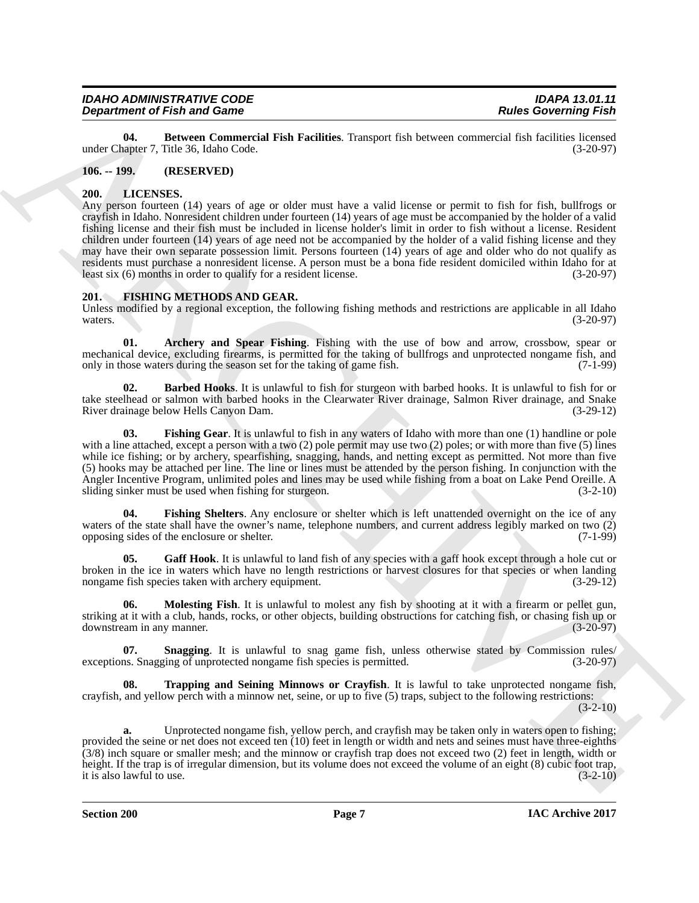<span id="page-6-13"></span>**04. Between Commercial Fish Facilities**. Transport fish between commercial fish facilities licensed under Chapter 7, Title 36, Idaho Code.

#### <span id="page-6-0"></span>**106. -- 199. (RESERVED)**

#### <span id="page-6-12"></span><span id="page-6-1"></span>**200. LICENSES.**

**Department of Finite and Game Conservation** Faith Positive Transport this between outcomes that is in the following Finite and Game Conservation Finite and Society Transport of Finite and Society Transport of Finite and Any person fourteen (14) years of age or older must have a valid license or permit to fish for fish, bullfrogs or crayfish in Idaho. Nonresident children under fourteen (14) years of age must be accompanied by the holder of a valid fishing license and their fish must be included in license holder's limit in order to fish without a license. Resident children under fourteen (14) years of age need not be accompanied by the holder of a valid fishing license and they may have their own separate possession limit. Persons fourteen (14) years of age and older who do not qualify as residents must purchase a nonresident license. A person must be a bona fide resident domiciled within Idaho for at least six (6) months in order to qualify for a resident license. least six  $(6)$  months in order to qualify for a resident license.

#### <span id="page-6-3"></span><span id="page-6-2"></span>**201. FISHING METHODS AND GEAR.**

Unless modified by a regional exception, the following fishing methods and restrictions are applicable in all Idaho waters. (3-20-97) waters.  $(3-20-97)$ 

<span id="page-6-4"></span>**01. Archery and Spear Fishing**. Fishing with the use of bow and arrow, crossbow, spear or mechanical device, excluding firearms, is permitted for the taking of bullfrogs and unprotected nongame fish, and only in those waters during the season set for the taking of game fish. (7-1-99) only in those waters during the season set for the taking of game fish.

<span id="page-6-5"></span>**02. Barbed Hooks**. It is unlawful to fish for sturgeon with barbed hooks. It is unlawful to fish for or take steelhead or salmon with barbed hooks in the Clearwater River drainage, Salmon River drainage, and Snake River drainage below Hells Canyon Dam. (3-29-12)

<span id="page-6-6"></span>**03. Fishing Gear**. It is unlawful to fish in any waters of Idaho with more than one (1) handline or pole with a line attached, except a person with a two (2) pole permit may use two (2) poles; or with more than five (5) lines while ice fishing; or by archery, spearfishing, snagging, hands, and netting except as permitted. Not more than five (5) hooks may be attached per line. The line or lines must be attended by the person fishing. In conjunction with the Angler Incentive Program, unlimited poles and lines may be used while fishing from a boat on Lake Pend Oreille. A sliding sinker must be used when fishing for sturgeon. (3-2-10)

<span id="page-6-7"></span>**04. Fishing Shelters**. Any enclosure or shelter which is left unattended overnight on the ice of any waters of the state shall have the owner's name, telephone numbers, and current address legibly marked on two  $(2)$  opposing sides of the enclosure or shelter.  $(7-1-99)$ opposing sides of the enclosure or shelter.

<span id="page-6-8"></span>**05.** Gaff Hook. It is unlawful to land fish of any species with a gaff hook except through a hole cut or broken in the ice in waters which have no length restrictions or harvest closures for that species or when landing nongame fish species taken with archery equipment. (3-29-12) nongame fish species taken with archery equipment.

<span id="page-6-9"></span>**06.** Molesting Fish. It is unlawful to molest any fish by shooting at it with a firearm or pellet gun, striking at it with a club, hands, rocks, or other objects, building obstructions for catching fish, or chasing fish up or downstream in any manner. (3-20-97) downstream in any manner.

<span id="page-6-10"></span>**Snagging**. It is unlawful to snag game fish, unless otherwise stated by Commission rules/<br>ging of unprotected nongame fish species is permitted. (3-20-97) exceptions. Snagging of unprotected nongame fish species is permitted.

<span id="page-6-11"></span>**08. Trapping and Seining Minnows or Crayfish**. It is lawful to take unprotected nongame fish, crayfish, and yellow perch with a minnow net, seine, or up to five (5) traps, subject to the following restrictions:

 $(3-2-10)$ 

**a.** Unprotected nongame fish, yellow perch, and crayfish may be taken only in waters open to fishing; provided the seine or net does not exceed ten (10) feet in length or width and nets and seines must have three-eighths (3/8) inch square or smaller mesh; and the minnow or crayfish trap does not exceed two (2) feet in length, width or height. If the trap is of irregular dimension, but its volume does not exceed the volume of an eight (8) cubic foot trap, it is also lawful to use. (3-2-10) it is also lawful to use.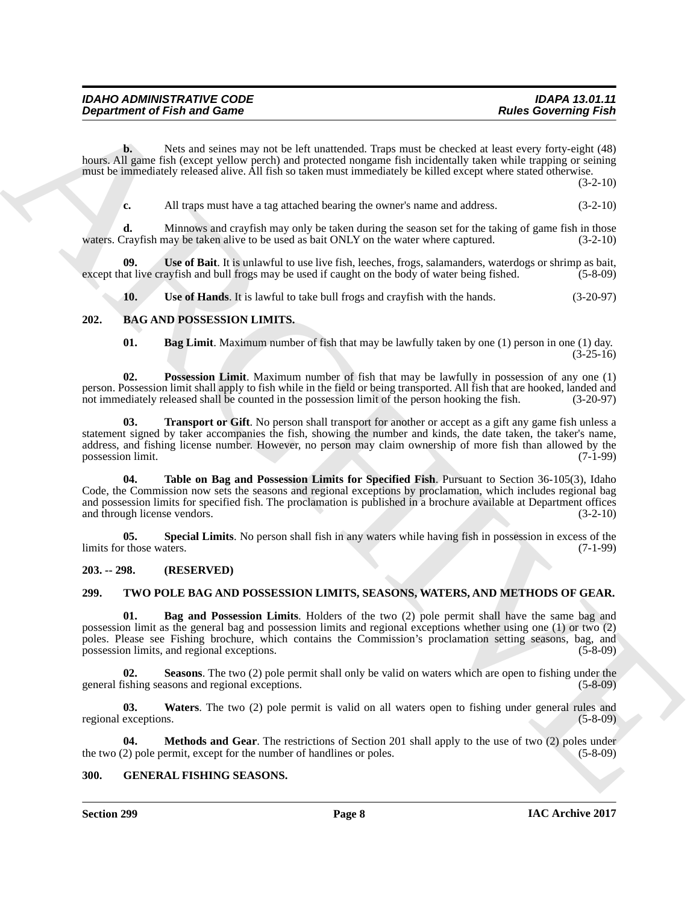| <b>IDAHO ADMINISTRATIVE CODE</b>   | <b>IDAPA 13.01.11</b>       |
|------------------------------------|-----------------------------|
| <b>Department of Fish and Game</b> | <b>Rules Governing Fish</b> |

**b.** Nets and seines may not be left unattended. Traps must be checked at least every forty-eight (48) hours. All game fish (except yellow perch) and protected nongame fish incidentally taken while trapping or seining must be immediately released alive. All fish so taken must immediately be killed except where stated otherwise.

(3-2-10)

**c.** All traps must have a tag attached bearing the owner's name and address. (3-2-10)

**d.** Minnows and crayfish may only be taken during the season set for the taking of game fish in those waters. Crayfish may be taken alive to be used as bait ONLY on the water where captured. (3-2-10)

**Use of Bait**. It is unlawful to use live fish, leeches, frogs, salamanders, waterdogs or shrimp as bait, ayfish and bull frogs may be used if caught on the body of water being fished. (5-8-09) except that live crayfish and bull frogs may be used if caught on the body of water being fished.

<span id="page-7-11"></span><span id="page-7-10"></span><span id="page-7-4"></span>**10.** Use of Hands. It is lawful to take bull frogs and crayfish with the hands.  $(3-20-97)$ 

#### <span id="page-7-0"></span>**202. BAG AND POSSESSION LIMITS.**

<span id="page-7-9"></span><span id="page-7-7"></span><span id="page-7-6"></span>**01. Bag Limit**. Maximum number of fish that may be lawfully taken by one (1) person in one (1) day.  $(3-25-16)$ 

**02. Possession Limit**. Maximum number of fish that may be lawfully in possession of any one (1) person. Possession limit shall apply to fish while in the field or being transported. All fish that are hooked, landed and not immediately released shall be counted in the possession limit of the person hooking the fish. ( not immediately released shall be counted in the possession limit of the person hooking the fish.

<span id="page-7-5"></span>**03. Transport or Gift**. No person shall transport for another or accept as a gift any game fish unless a statement signed by taker accompanies the fish, showing the number and kinds, the date taken, the taker's name, address, and fishing license number. However, no person may claim ownership of more fish than allowed by the possession limit. (7-1-99) possession limit.

**Department of Fish and Game<br>
Newsale Sciences Research Control and Science Research Control and the second of Fish and second and the second and the second and the second and the second and the second and the second and 04. Table on Bag and Possession Limits for Specified Fish**. Pursuant to Section 36-105(3), Idaho Code, the Commission now sets the seasons and regional exceptions by proclamation, which includes regional bag and possession limits for specified fish. The proclamation is published in a brochure available at Department offices and through license vendors. (3-2-10)

<span id="page-7-8"></span>**05. Special Limits**. No person shall fish in any waters while having fish in possession in excess of the those waters. (7-1-99) limits for those waters.

#### <span id="page-7-1"></span>**203. -- 298. (RESERVED)**

#### <span id="page-7-13"></span><span id="page-7-2"></span>**299. TWO POLE BAG AND POSSESSION LIMITS, SEASONS, WATERS, AND METHODS OF GEAR.**

<span id="page-7-14"></span>**01. Bag and Possession Limits**. Holders of the two (2) pole permit shall have the same bag and possession limit as the general bag and possession limits and regional exceptions whether using one (1) or two (2) poles. Please see Fishing brochure, which contains the Commission's proclamation setting seasons, bag, and possession limits, and regional exceptions. (5-8-09) possession limits, and regional exceptions.

<span id="page-7-16"></span>**Seasons**. The two (2) pole permit shall only be valid on waters which are open to fishing under the general fishing seasons and regional exceptions. (5-8-09)

<span id="page-7-17"></span>**03. Waters**. The two (2) pole permit is valid on all waters open to fishing under general rules and regional exceptions. (5-8-09)

<span id="page-7-15"></span>**04. Methods and Gear**. The restrictions of Section 201 shall apply to the use of two (2) poles under 2) pole permit, except for the number of handlines or poles. (5-8-09) the two  $(2)$  pole permit, except for the number of handlines or poles.

#### <span id="page-7-12"></span><span id="page-7-3"></span>**300. GENERAL FISHING SEASONS.**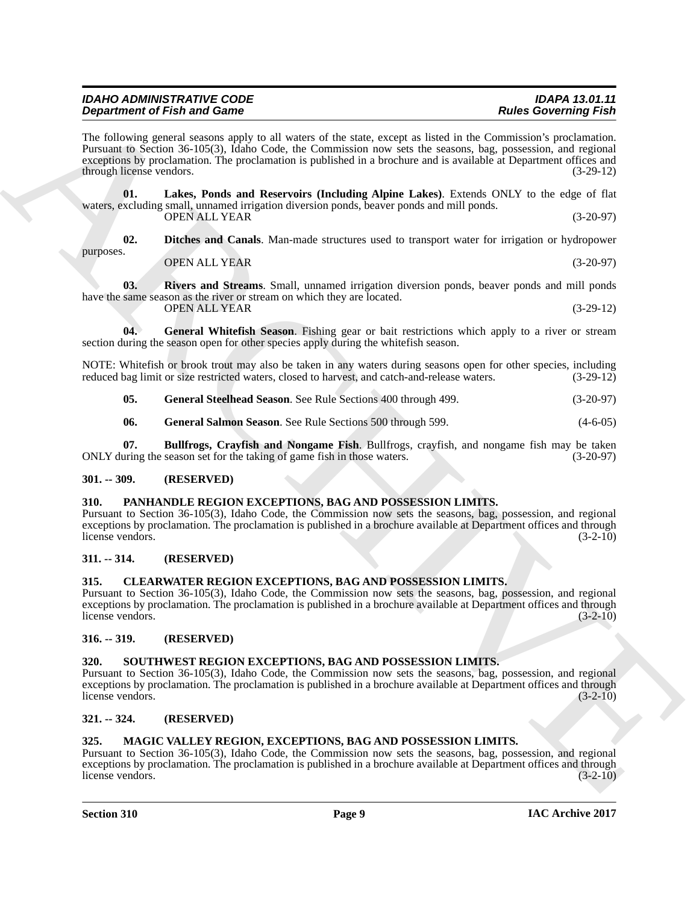| <b>IDAHO ADMINISTRATIVE CODE</b>   | <b>IDAPA 13.01.11</b>       |
|------------------------------------|-----------------------------|
| <b>Department of Fish and Game</b> | <b>Rules Governing Fish</b> |
|                                    |                             |

**Dependent of Frida and Cause Conservation** and the same couple and the Conservation of Frida and Conservation and Conservation and Conservation and Conservation and Conservation and Conservation and Conservation and Cons The following general seasons apply to all waters of the state, except as listed in the Commission's proclamation. Pursuant to Section 36-105(3), Idaho Code, the Commission now sets the seasons, bag, possession, and regional exceptions by proclamation. The proclamation is published in a brochure and is available at Department offices and through license vendors. (3-29-12)

**01. Lakes, Ponds and Reservoirs (Including Alpine Lakes)**. Extends ONLY to the edge of flat waters, excluding small, unnamed irrigation diversion ponds, beaver ponds and mill ponds. OPEN ALL YEAR (3-20-97)

**02. Ditches and Canals**. Man-made structures used to transport water for irrigation or hydropower purposes.

<span id="page-8-14"></span><span id="page-8-10"></span>

<span id="page-8-15"></span><span id="page-8-13"></span>OPEN ALL YEAR (3-20-97)

**03. Rivers and Streams**. Small, unnamed irrigation diversion ponds, beaver ponds and mill ponds have the same season as the river or stream on which they are located. OPEN ALL YEAR (3-29-12)

**04.** General Whitefish Season. Fishing gear or bait restrictions which apply to a river or stream section during the season open for other species apply during the whitefish season.

NOTE: Whitefish or brook trout may also be taken in any waters during seasons open for other species, including reduced bag limit or size restricted waters, closed to harvest, and catch-and-release waters. (3-29-12) reduced bag limit or size restricted waters, closed to harvest, and catch-and-release waters.

<span id="page-8-12"></span>**05. General Steelhead Season**. See Rule Sections 400 through 499. (3-20-97)

<span id="page-8-11"></span><span id="page-8-9"></span>**06.** General Salmon Season. See Rule Sections 500 through 599. (4-6-05)

**07. Bullfrogs, Crayfish and Nongame Fish**. Bullfrogs, crayfish, and nongame fish may be taken uring the season set for the taking of game fish in those waters. (3-20-97) ONLY during the season set for the taking of game fish in those waters.

#### <span id="page-8-0"></span>**301. -- 309. (RESERVED)**

#### <span id="page-8-17"></span><span id="page-8-1"></span>**310. PANHANDLE REGION EXCEPTIONS, BAG AND POSSESSION LIMITS.**

Pursuant to Section 36-105(3), Idaho Code, the Commission now sets the seasons, bag, possession, and regional exceptions by proclamation. The proclamation is published in a brochure available at Department offices and through license vendors. (3-2-10)

#### <span id="page-8-2"></span>**311. -- 314. (RESERVED)**

## <span id="page-8-8"></span><span id="page-8-3"></span>**315. CLEARWATER REGION EXCEPTIONS, BAG AND POSSESSION LIMITS.**

Pursuant to Section 36-105(3), Idaho Code, the Commission now sets the seasons, bag, possession, and regional exceptions by proclamation. The proclamation is published in a brochure available at Department offices and through license vendors. (3-2-10)

#### <span id="page-8-4"></span>**316. -- 319. (RESERVED)**

#### <span id="page-8-18"></span><span id="page-8-5"></span>**320. SOUTHWEST REGION EXCEPTIONS, BAG AND POSSESSION LIMITS.**

Pursuant to Section 36-105(3), Idaho Code, the Commission now sets the seasons, bag, possession, and regional exceptions by proclamation. The proclamation is published in a brochure available at Department offices and through license vendors. (3-2-10) license vendors.

#### <span id="page-8-6"></span>**321. -- 324. (RESERVED)**

#### <span id="page-8-16"></span><span id="page-8-7"></span>**325. MAGIC VALLEY REGION, EXCEPTIONS, BAG AND POSSESSION LIMITS.**

Pursuant to Section 36-105(3), Idaho Code, the Commission now sets the seasons, bag, possession, and regional exceptions by proclamation. The proclamation is published in a brochure available at Department offices and through license vendors. (3-2-10) license vendors.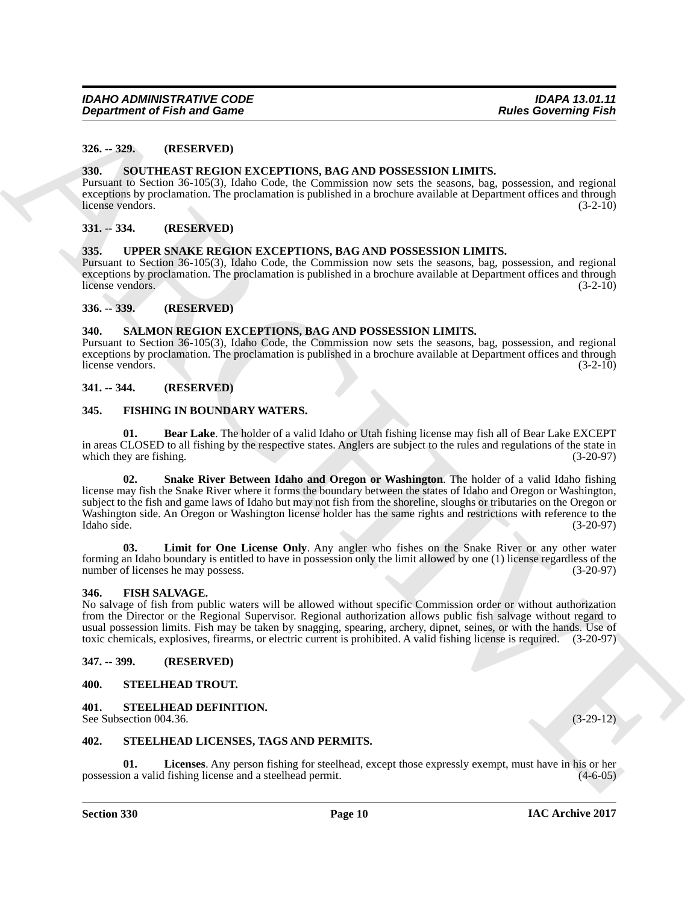#### <span id="page-9-0"></span>**326. -- 329. (RESERVED)**

#### <span id="page-9-19"></span><span id="page-9-1"></span>**330. SOUTHEAST REGION EXCEPTIONS, BAG AND POSSESSION LIMITS.**

Pursuant to Section 36-105(3), Idaho Code, the Commission now sets the seasons, bag, possession, and regional exceptions by proclamation. The proclamation is published in a brochure available at Department offices and through license vendors. (3-2-10) license vendors.

#### <span id="page-9-2"></span>**331. -- 334. (RESERVED)**

#### <span id="page-9-24"></span><span id="page-9-3"></span>**335. UPPER SNAKE REGION EXCEPTIONS, BAG AND POSSESSION LIMITS.**

Pursuant to Section 36-105(3), Idaho Code, the Commission now sets the seasons, bag, possession, and regional exceptions by proclamation. The proclamation is published in a brochure available at Department offices and through license vendors. (3-2-10)

#### <span id="page-9-4"></span>**336. -- 339. (RESERVED)**

#### <span id="page-9-18"></span><span id="page-9-5"></span>**340. SALMON REGION EXCEPTIONS, BAG AND POSSESSION LIMITS.**

Pursuant to Section 36-105(3), Idaho Code, the Commission now sets the seasons, bag, possession, and regional exceptions by proclamation. The proclamation is published in a brochure available at Department offices and through license vendors. (3-2-10) license vendors.

#### <span id="page-9-6"></span>**341. -- 344. (RESERVED)**

#### <span id="page-9-14"></span><span id="page-9-7"></span>**345. FISHING IN BOUNDARY WATERS.**

<span id="page-9-17"></span><span id="page-9-15"></span>**01. Bear Lake**. The holder of a valid Idaho or Utah fishing license may fish all of Bear Lake EXCEPT in areas CLOSED to all fishing by the respective states. Anglers are subject to the rules and regulations of the state in which they are fishing. (3-20-97) which they are fishing.

**Equivariant of Frain and Game<br>
23. - 32. (ILENER) EVALUATIONS**, **EAGAND PUSSESSION LIMITS.**<br>
23. **23. CONSECRITIONS EVALUATIONS EXCREMENTAL CONSECRECTION CONSECRECTION EXACT CONSECRECTION EXACT CONSECRECT 02. Snake River Between Idaho and Oregon or Washington**. The holder of a valid Idaho fishing license may fish the Snake River where it forms the boundary between the states of Idaho and Oregon or Washington, subject to the fish and game laws of Idaho but may not fish from the shoreline, sloughs or tributaries on the Oregon or Washington side. An Oregon or Washington license holder has the same rights and restrictions with reference to the Idaho side. (3-20-97) Idaho side. (3-20-97)

<span id="page-9-16"></span>**Limit for One License Only.** Any angler who fishes on the Snake River or any other water forming an Idaho boundary is entitled to have in possession only the limit allowed by one (1) license regardless of the number of licenses he may possess. (3-20-97)

#### <span id="page-9-13"></span><span id="page-9-8"></span>**346. FISH SALVAGE.**

No salvage of fish from public waters will be allowed without specific Commission order or without authorization from the Director or the Regional Supervisor. Regional authorization allows public fish salvage without regard to usual possession limits. Fish may be taken by snagging, spearing, archery, dipnet, seines, or with the hands. Use of toxic chemicals, explosives, firearms, or electric current is prohibited. A valid fishing license is requ toxic chemicals, explosives, firearms, or electric current is prohibited. A valid fishing license is required.

#### <span id="page-9-9"></span>**347. -- 399. (RESERVED)**

#### <span id="page-9-23"></span><span id="page-9-10"></span>**400. STEELHEAD TROUT.**

#### <span id="page-9-20"></span><span id="page-9-11"></span>**401. STEELHEAD DEFINITION.**

See Subsection 004.36. (3-29-12)

#### <span id="page-9-21"></span><span id="page-9-12"></span>**402. STEELHEAD LICENSES, TAGS AND PERMITS.**

<span id="page-9-22"></span>**Licenses**. Any person fishing for steelhead, except those expressly exempt, must have in his or her I fishing license and a steelhead permit. (4-6-05) possession a valid fishing license and a steelhead permit.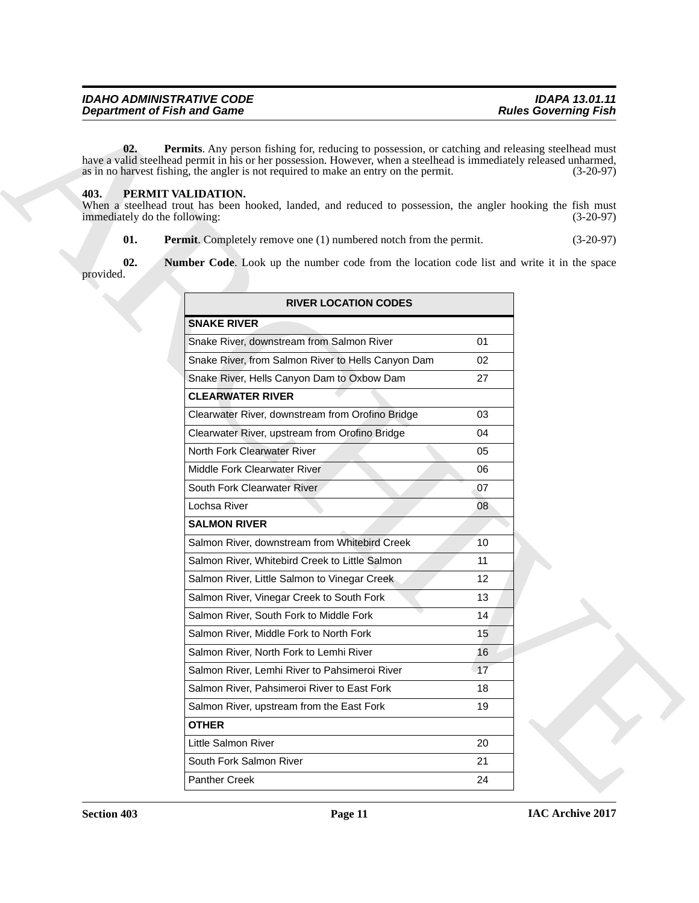#### <span id="page-10-5"></span><span id="page-10-4"></span><span id="page-10-3"></span><span id="page-10-2"></span><span id="page-10-1"></span><span id="page-10-0"></span>**403. PERMIT VALIDATION.**

| <b>Department of Fish and Game</b>                                 |                                                                                                                                                                                                                                                                                                                                                                                                                                 | <b>Rules Governing Fish</b> |
|--------------------------------------------------------------------|---------------------------------------------------------------------------------------------------------------------------------------------------------------------------------------------------------------------------------------------------------------------------------------------------------------------------------------------------------------------------------------------------------------------------------|-----------------------------|
| 02.<br>403.<br>PERMIT VALIDATION.<br>immediately do the following: | Permits. Any person fishing for, reducing to possession, or catching and releasing steelhead must<br>have a valid steelhead permit in his or her possession. However, when a steelhead is immediately released unharmed,<br>as in no harvest fishing, the angler is not required to make an entry on the permit.<br>When a steelhead trout has been hooked, landed, and reduced to possession, the angler hooking the fish must | $(3-20-97)$<br>$(3-20-97)$  |
| 01.                                                                | <b>Permit.</b> Completely remove one (1) numbered notch from the permit.                                                                                                                                                                                                                                                                                                                                                        | $(3-20-97)$                 |
| 02.<br>provided.                                                   | Number Code. Look up the number code from the location code list and write it in the space                                                                                                                                                                                                                                                                                                                                      |                             |
|                                                                    | <b>RIVER LOCATION CODES</b>                                                                                                                                                                                                                                                                                                                                                                                                     |                             |
|                                                                    | <b>SNAKE RIVER</b>                                                                                                                                                                                                                                                                                                                                                                                                              |                             |
|                                                                    | Snake River, downstream from Salmon River                                                                                                                                                                                                                                                                                                                                                                                       | 01                          |
|                                                                    | Snake River, from Salmon River to Hells Canyon Dam                                                                                                                                                                                                                                                                                                                                                                              | 02                          |
|                                                                    | Snake River, Hells Canyon Dam to Oxbow Dam                                                                                                                                                                                                                                                                                                                                                                                      | 27                          |
|                                                                    | <b>CLEARWATER RIVER</b>                                                                                                                                                                                                                                                                                                                                                                                                         |                             |
|                                                                    | Clearwater River, downstream from Orofino Bridge                                                                                                                                                                                                                                                                                                                                                                                | 03                          |
|                                                                    | Clearwater River, upstream from Orofino Bridge                                                                                                                                                                                                                                                                                                                                                                                  | 04                          |
|                                                                    | North Fork Clearwater River                                                                                                                                                                                                                                                                                                                                                                                                     | 05                          |
|                                                                    | Middle Fork Clearwater River                                                                                                                                                                                                                                                                                                                                                                                                    | 06                          |
|                                                                    | South Fork Clearwater River                                                                                                                                                                                                                                                                                                                                                                                                     | 07                          |
|                                                                    | Lochsa River                                                                                                                                                                                                                                                                                                                                                                                                                    | 08                          |
|                                                                    | <b>SALMON RIVER</b>                                                                                                                                                                                                                                                                                                                                                                                                             |                             |
|                                                                    | Salmon River, downstream from Whitebird Creek                                                                                                                                                                                                                                                                                                                                                                                   | 10                          |
|                                                                    | Salmon River, Whitebird Creek to Little Salmon                                                                                                                                                                                                                                                                                                                                                                                  | 11                          |
|                                                                    | Salmon River, Little Salmon to Vinegar Creek                                                                                                                                                                                                                                                                                                                                                                                    | 12                          |
|                                                                    | Salmon River, Vinegar Creek to South Fork                                                                                                                                                                                                                                                                                                                                                                                       | 13                          |
|                                                                    | Salmon River, South Fork to Middle Fork                                                                                                                                                                                                                                                                                                                                                                                         | 14                          |
|                                                                    | Salmon River, Middle Fork to North Fork                                                                                                                                                                                                                                                                                                                                                                                         | 15                          |
|                                                                    | Salmon River, North Fork to Lemhi River                                                                                                                                                                                                                                                                                                                                                                                         | 16                          |
|                                                                    | Salmon River, Lemhi River to Pahsimeroi River                                                                                                                                                                                                                                                                                                                                                                                   | 17                          |
|                                                                    | Salmon River, Pahsimeroi River to East Fork                                                                                                                                                                                                                                                                                                                                                                                     | 18                          |
|                                                                    | Salmon River, upstream from the East Fork                                                                                                                                                                                                                                                                                                                                                                                       | 19                          |
|                                                                    | <b>OTHER</b>                                                                                                                                                                                                                                                                                                                                                                                                                    |                             |
|                                                                    | Little Salmon River                                                                                                                                                                                                                                                                                                                                                                                                             | 20                          |
|                                                                    | South Fork Salmon River                                                                                                                                                                                                                                                                                                                                                                                                         | 21                          |
|                                                                    |                                                                                                                                                                                                                                                                                                                                                                                                                                 |                             |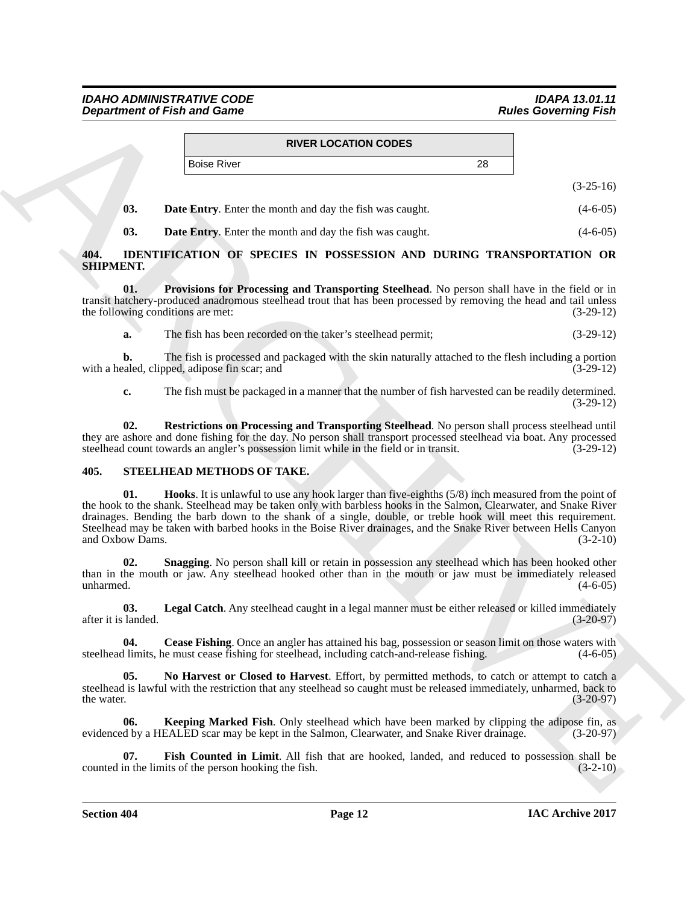|               | <b>RIVER LOCATION CODES</b> |    |             |
|---------------|-----------------------------|----|-------------|
| l Boise River |                             | 28 |             |
|               |                             |    | $(3-25-16)$ |

<span id="page-11-5"></span>

| $\blacksquare$ 03. | <b>Date Entry.</b> Enter the month and day the fish was caught. | $(4-6-05)$ |
|--------------------|-----------------------------------------------------------------|------------|
|                    |                                                                 |            |

<span id="page-11-3"></span><span id="page-11-2"></span>**03. Date Entry**. Enter the month and day the fish was caught. (4-6-05)

#### <span id="page-11-0"></span>**404. IDENTIFICATION OF SPECIES IN POSSESSION AND DURING TRANSPORTATION OR SHIPMENT.**

**01. Provisions for Processing and Transporting Steelhead**. No person shall have in the field or in transit hatchery-produced anadromous steelhead trout that has been processed by removing the head and tail unless<br>the following conditions are met: (3-29-12) the following conditions are met:

**a.** The fish has been recorded on the taker's steelhead permit; (3-29-12)

**b.** The fish is processed and packaged with the skin naturally attached to the flesh including a portion raled, clipped, adipose fin scar; and  $(3-29-12)$ with a healed, clipped, adipose fin scar; and

<span id="page-11-4"></span>**c.** The fish must be packaged in a manner that the number of fish harvested can be readily determined. (3-29-12)

**02. Restrictions on Processing and Transporting Steelhead**. No person shall process steelhead until they are ashore and done fishing for the day. No person shall transport processed steelhead via boat. Any processed steelhead count towards an angler's possession limit while in the field or in transit. (3-29-12)

#### <span id="page-11-9"></span><span id="page-11-6"></span><span id="page-11-1"></span>**405. STEELHEAD METHODS OF TAKE.**

**Experiment of Fish and Game<br>
RIVER LOGATION CODES<br>
Note Covereing Fish<br>
(1.5-5-11s)<br>
(1.5-5-11s)<br>
(1.6-15-1)<br>
(1.6-15-1)<br>
(1.6-15-1)<br>
(1.6-15-1)<br>
(1.6-15-1)<br>
(1.6-15-1)<br>
(1.6-15-1)<br>
(1.6-15-1)<br>
(1.6-15-1)<br>
(1.6-15-1)<br>
(1 01. Hooks**. It is unlawful to use any hook larger than five-eighths (5/8) inch measured from the point of the hook to the shank. Steelhead may be taken only with barbless hooks in the Salmon, Clearwater, and Snake River drainages. Bending the barb down to the shank of a single, double, or treble hook will meet this requirement. Steelhead may be taken with barbed hooks in the Boise River drainages, and the Snake River between Hells Canyon and Oxbow Dams. (3-2-10) and Oxbow Dams.

<span id="page-11-13"></span>**02. Snagging**. No person shall kill or retain in possession any steelhead which has been hooked other than in the mouth or jaw. Any steelhead hooked other than in the mouth or jaw must be immediately released unharmed.  $(4-6-05)$ 

<span id="page-11-11"></span>**03.** Legal Catch. Any steelhead caught in a legal manner must be either released or killed immediately landed. (3-20-97) after it is landed.

<span id="page-11-7"></span>**04.** Cease Fishing. Once an angler has attained his bag, possession or season limit on those waters with l limits, he must cease fishing for steelhead, including catch-and-release fishing. (4-6-05) steelhead limits, he must cease fishing for steelhead, including catch-and-release fishing.

<span id="page-11-12"></span>**05. No Harvest or Closed to Harvest**. Effort, by permitted methods, to catch or attempt to catch a steelhead is lawful with the restriction that any steelhead so caught must be released immediately, unharmed, back to the water. (3-20-97) the water.  $(3-20-97)$ 

<span id="page-11-10"></span>**06. Keeping Marked Fish**. Only steelhead which have been marked by clipping the adipose fin, as d by a HEALED scar may be kept in the Salmon, Clearwater, and Snake River drainage. (3-20-97) evidenced by a HEALED scar may be kept in the Salmon, Clearwater, and Snake River drainage.

<span id="page-11-8"></span>**07. Fish Counted in Limit**. All fish that are hooked, landed, and reduced to possession shall be in the limits of the person hooking the fish. (3-2-10) counted in the limits of the person hooking the fish.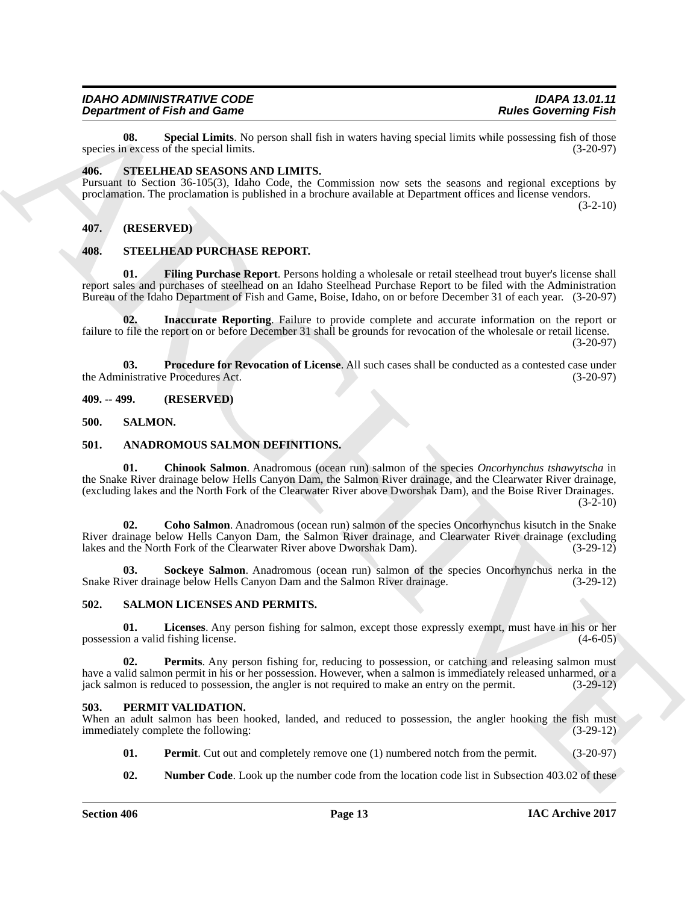<span id="page-12-17"></span>**08. Special Limits**. No person shall fish in waters having special limits while possessing fish of those n excess of the special limits. species in excess of the special limits.

#### <span id="page-12-0"></span>**406. STEELHEAD SEASONS AND LIMITS.**

Pursuant to Section 36-105(3), Idaho Code, the Commission now sets the seasons and regional exceptions by proclamation. The proclamation is published in a brochure available at Department offices and license vendors.  $(3-2-10)$ 

#### <span id="page-12-1"></span>**407. (RESERVED)**

#### <span id="page-12-19"></span><span id="page-12-18"></span><span id="page-12-2"></span>**408. STEELHEAD PURCHASE REPORT.**

**01. Filing Purchase Report**. Persons holding a wholesale or retail steelhead trout buyer's license shall report sales and purchases of steelhead on an Idaho Steelhead Purchase Report to be filed with the Administration Bureau of the Idaho Department of Fish and Game, Boise, Idaho, on or before December 31 of each year. (3-20-97)

<span id="page-12-20"></span>**02. Inaccurate Reporting**. Failure to provide complete and accurate information on the report or failure to file the report on or before December 31 shall be grounds for revocation of the wholesale or retail license.

 $(3-20-97)$ 

<span id="page-12-21"></span>**03. Procedure for Revocation of License**. All such cases shall be conducted as a contested case under inistrative Procedures Act. (3-20-97) the Administrative Procedures Act.

<span id="page-12-3"></span>**409. -- 499. (RESERVED)**

#### <span id="page-12-15"></span><span id="page-12-4"></span>**500. SALMON.**

#### <span id="page-12-9"></span><span id="page-12-8"></span><span id="page-12-5"></span>**501. ANADROMOUS SALMON DEFINITIONS.**

ARCHIVE **01. Chinook Salmon**. Anadromous (ocean run) salmon of the species *Oncorhynchus tshawytscha* in the Snake River drainage below Hells Canyon Dam, the Salmon River drainage, and the Clearwater River drainage, (excluding lakes and the North Fork of the Clearwater River above Dworshak Dam), and the Boise River Drainages.  $(3-2-10)$ 

<span id="page-12-10"></span>**02. Coho Salmon**. Anadromous (ocean run) salmon of the species Oncorhynchus kisutch in the Snake River drainage below Hells Canyon Dam, the Salmon River drainage, and Clearwater River drainage (excluding lakes and the North Fork of the Clearwater River above Dworshak Dam). (3-29-12)

<span id="page-12-11"></span>**03. Sockeye Salmon**. Anadromous (ocean run) salmon of the species Oncorhynchus nerka in the ver drainage below Hells Canvon Dam and the Salmon River drainage. (3-29-12) Snake River drainage below Hells Canyon Dam and the Salmon River drainage.

#### <span id="page-12-16"></span><span id="page-12-6"></span>**502. SALMON LICENSES AND PERMITS.**

**01. Licenses**. Any person fishing for salmon, except those expressly exempt, must have in his or her possession a valid fishing license.

**02. Permits**. Any person fishing for, reducing to possession, or catching and releasing salmon must have a valid salmon permit in his or her possession. However, when a salmon is immediately released unharmed, or a jack salmon is reduced to possession, the angler is not required to make an entry on the permit. (3-29-12) jack salmon is reduced to possession, the angler is not required to make an entry on the permit.

#### <span id="page-12-12"></span><span id="page-12-7"></span>**503. PERMIT VALIDATION.**

When an adult salmon has been hooked, landed, and reduced to possession, the angler hooking the fish must immediately complete the following: (3-29-12)

- <span id="page-12-14"></span>**01. Permit**. Cut out and completely remove one (1) numbered notch from the permit. (3-20-97)
- <span id="page-12-13"></span>**02.** Number Code. Look up the number code from the location code list in Subsection 403.02 of these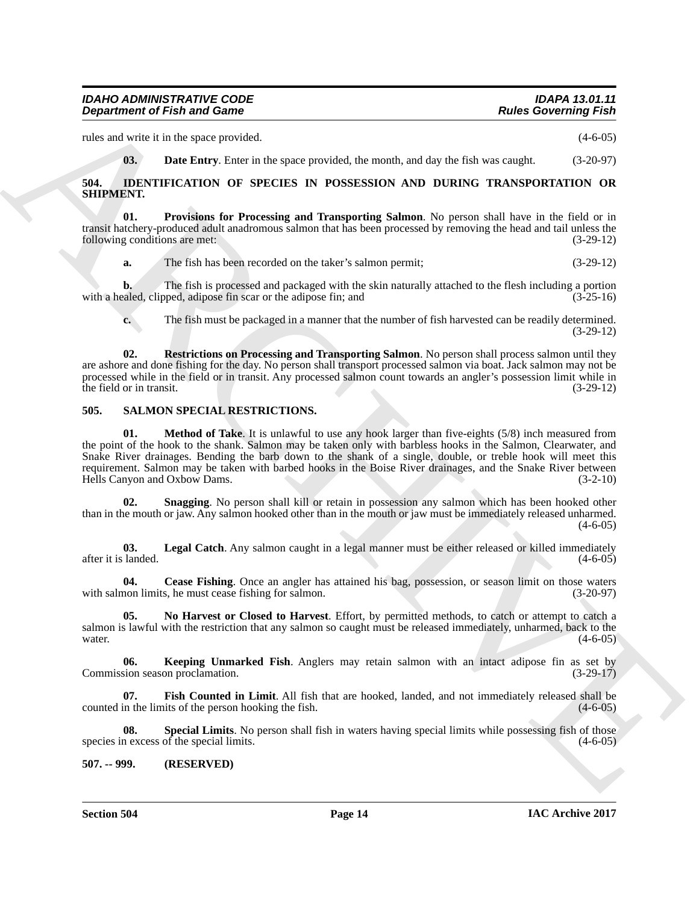rules and write it in the space provided. (4-6-05)

<span id="page-13-6"></span><span id="page-13-4"></span><span id="page-13-3"></span>**03. Date Entry**. Enter in the space provided, the month, and day the fish was caught. (3-20-97)

<span id="page-13-0"></span>**504. IDENTIFICATION OF SPECIES IN POSSESSION AND DURING TRANSPORTATION OR SHIPMENT.**

**01. Provisions for Processing and Transporting Salmon**. No person shall have in the field or in transit hatchery-produced adult anadromous salmon that has been processed by removing the head and tail unless the following conditions are met: (3-29-12)

**a.** The fish has been recorded on the taker's salmon permit; (3-29-12)

**b.** The fish is processed and packaged with the skin naturally attached to the flesh including a portion with a healed, clipped, adipose fin scar or the adipose fin; and (3-25-16)

<span id="page-13-5"></span>**c.** The fish must be packaged in a manner that the number of fish harvested can be readily determined. (3-29-12)

**02. Restrictions on Processing and Transporting Salmon**. No person shall process salmon until they are ashore and done fishing for the day. No person shall transport processed salmon via boat. Jack salmon may not be processed while in the field or in transit. Any processed salmon count towards an angler's possession limit while in the field or in transit.  $(3-29-12)$ 

### <span id="page-13-12"></span><span id="page-13-7"></span><span id="page-13-1"></span>**505. SALMON SPECIAL RESTRICTIONS.**

**Experiment of Fish and Game<br>
Also well is the spectral whole the method and the method in the spectral whole the spectral whole the spectral whole the spectral whole the spectral whole the spectral whole the spectral who 01. Method of Take**. It is unlawful to use any hook larger than five-eights (5/8) inch measured from the point of the hook to the shank. Salmon may be taken only with barbless hooks in the Salmon, Clearwater, and Snake River drainages. Bending the barb down to the shank of a single, double, or treble hook will meet this requirement. Salmon may be taken with barbed hooks in the Boise River drainages, and the Snake River between Hells Canvon and Oxbow Dams. (3-2-10) Hells Canyon and Oxbow Dams.

<span id="page-13-14"></span>**02. Snagging**. No person shall kill or retain in possession any salmon which has been hooked other than in the mouth or jaw. Any salmon hooked other than in the mouth or jaw must be immediately released unharmed.  $(4-6-05)$ 

<span id="page-13-11"></span>**03.** Legal Catch. Any salmon caught in a legal manner must be either released or killed immediately landed.  $(4-6-05)$ after it is landed.

<span id="page-13-8"></span>**04.** Cease Fishing. Once an angler has attained his bag, possession, or season limit on those waters non limits, he must cease fishing for salmon. (3-20-97) with salmon limits, he must cease fishing for salmon.

<span id="page-13-13"></span>**05. No Harvest or Closed to Harvest**. Effort, by permitted methods, to catch or attempt to catch a salmon is lawful with the restriction that any salmon so caught must be released immediately, unharmed, back to the water. water.  $(4-6-05)$ 

<span id="page-13-10"></span>**06. Keeping Unmarked Fish**. Anglers may retain salmon with an intact adipose fin as set by Commission season proclamation. (3-29-17)

<span id="page-13-9"></span>**07.** Fish Counted in Limit. All fish that are hooked, landed, and not immediately released shall be in the limits of the person hooking the fish.  $(4-6-05)$ counted in the limits of the person hooking the fish.

<span id="page-13-15"></span>**08.** Special Limits. No person shall fish in waters having special limits while possessing fish of those n excess of the special limits.  $(4-6-05)$ species in excess of the special limits.

#### <span id="page-13-2"></span>**507. -- 999. (RESERVED)**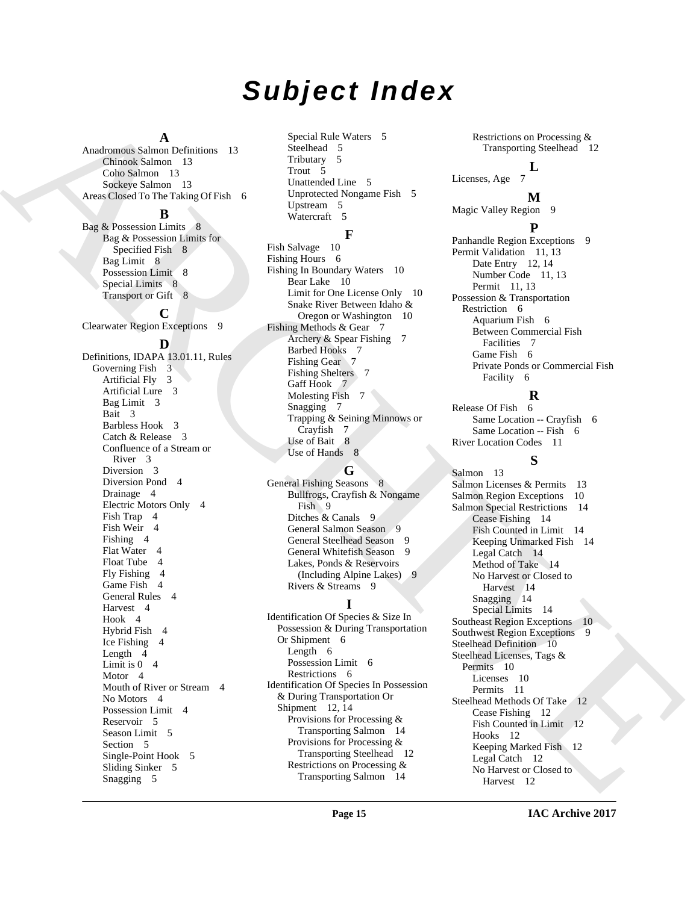## *Subject Index*

#### **A**

Anadromous Salmon Definitions 13 Chinook Salmon 13 Coho Salmon 13 Sockeye Salmon 13 Areas Closed To The Taking Of Fish 6

#### **B**

Bag & Possession Limits 8 Bag & Possession Limits for Specified Fish 8 Bag Limit 8 Possession Limit 8 Special Limits 8 Transport or Gift 8

## **C**

Clearwater Region Exceptions 9

#### **D**

Andreas Chemistron (M. 1990)<br>
Andreas Chemistro (M. 1990)<br>
Chemistro (M. 1990)<br>
Chemistro (M. 1990)<br>
Chemistro (M. 1990)<br>
Chemistro (M. 1990)<br> [AR](#page-7-5)[C](#page-9-17)[H](#page-8-9)[I](#page-13-13)[VE](#page-9-21)S (M. 1990)<br>
ARCHIVES (M. 1990)<br>
Registro (M. 1990)<br>
Registro (M. 1990) Definitions, IDAPA 13.01.11, Rules Governing Fish 3 Artificial Fly 3 Artificial Lure 3 Bag Limit 3 Bait 3 Barbless Hook 3 Catch & Release 3 Confluence of a Stream or River 3 Diversion 3 Diversion Pond 4 Drainage 4 Electric Motors Only 4 Fish Trap 4 Fish Weir 4 Fishing 4 Flat Water 4 Float Tube 4 Fly Fishing 4 Game Fish 4 General Rules 4 Harvest 4 Hook 4 Hybrid Fish 4 Ice Fishing 4 Length 4 Limit is  $0 \quad 4$ Motor 4 Mouth of River or Stream 4 No Motors 4 Possession Limit 4 Reservoir 5 Season Limit 5 Section 5 Single-Point Hook 5 Sliding Sinker 5 Snagging 5

Special Rule Waters 5 Steelhead 5 Tributary 5 Trout 5 Unattended Line 5 Unprotected Nongame Fish 5 Upstream 5 Watercraft 5

## **F**

Fish Salvage 10 Fishing Hours 6 Fishing In Boundary Waters 10 Bear Lake 10 Limit for One License Only 10 Snake River Between Idaho & Oregon or Washington 10 Fishing Methods & Gear 7 Archery & Spear Fishing 7 Barbed Hooks 7 Fishing Gear 7 Fishing Shelters 7 Gaff Hook 7 Molesting Fish 7 Snagging 7 Trapping & Seining Minnows or Crayfish 7 Use of Bait 8 Use of Hands 8

## **G**

General Fishing Seasons 8 Bullfrogs, Crayfish & Nongame Fish 9 Ditches & Canals 9 General Salmon Season 9 General Steelhead Season 9 General Whitefish Season 9 Lakes, Ponds & Reservoirs (Including Alpine Lakes) 9 Rivers & Streams 9

## **I**

Identification Of Species & Size In Possession & During Transportation Or Shipment 6 Length 6 Possession Limit 6 Restrictions 6 Identification Of Species In Possession & During Transportation Or Shipment 12, 14 Provisions for Processing & Transporting Salmon 14 Provisions for Processing & Transporting Steelhead 12 Restrictions on Processing & Transporting Salmon 14

Restrictions on Processing & Transporting Steelhead 12

#### **L** Licenses, Age 7

**M**

Magic Valley Region 9

## **P**

Panhandle Region Exceptions 9 Permit Validation 11, 13 Date Entry 12, 14 Number Code 11, 13 Permit 11, 13 Possession & Transportation Restriction 6 Aquarium Fish 6 Between Commercial Fish Facilities 7 Game Fish 6 Private Ponds or Commercial Fish Facility 6

## **R**

Release Of Fish 6 Same Location -- Crayfish 6 Same Location -- Fish 6 River Location Codes 11

## **S**

Salmon 13 Salmon Licenses & Permits 13 Salmon Region Exceptions 10 Salmon Special Restrictions 14 Cease Fishing 14 Fish Counted in Limit 14 Keeping Unmarked Fish 14 Legal Catch 14 Method of Take 14 No Harvest or Closed to Harvest 14 Snagging 14 Special Limits 14 Southeast Region Exceptions 10 Southwest Region Exceptions 9 Steelhead Definition 10 Steelhead Licenses, Tags & Permits 10 Licenses 10 Permits 11 Steelhead Methods Of Take 12 Cease Fishing 12 Fish Counted in Limit 12 Hooks 12 Keeping Marked Fish 12 Legal Catch 12 No Harvest or Closed to Harvest 12